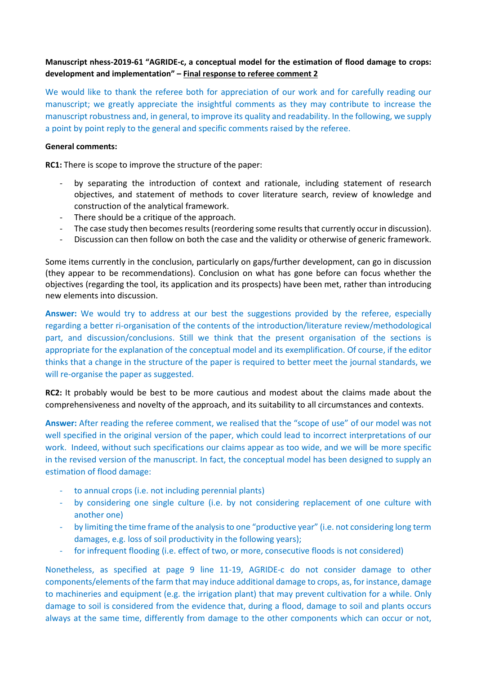# **Manuscript nhess-2019-61 "AGRIDE-c, a conceptual model for the estimation of flood damage to crops: development and implementation" – Final response to referee comment 2**

We would like to thank the referee both for appreciation of our work and for carefully reading our manuscript; we greatly appreciate the insightful comments as they may contribute to increase the manuscript robustness and, in general, to improve its quality and readability. In the following, we supply a point by point reply to the general and specific comments raised by the referee.

### **General comments:**

**RC1:** There is scope to improve the structure of the paper:

- by separating the introduction of context and rationale, including statement of research objectives, and statement of methods to cover literature search, review of knowledge and construction of the analytical framework.
- There should be a critique of the approach.
- The case study then becomes results (reordering some results that currently occur in discussion).
- Discussion can then follow on both the case and the validity or otherwise of generic framework.

Some items currently in the conclusion, particularly on gaps/further development, can go in discussion (they appear to be recommendations). Conclusion on what has gone before can focus whether the objectives (regarding the tool, its application and its prospects) have been met, rather than introducing new elements into discussion.

**Answer:** We would try to address at our best the suggestions provided by the referee, especially regarding a better ri-organisation of the contents of the introduction/literature review/methodological part, and discussion/conclusions. Still we think that the present organisation of the sections is appropriate for the explanation of the conceptual model and its exemplification. Of course, if the editor thinks that a change in the structure of the paper is required to better meet the journal standards, we will re-organise the paper as suggested.

**RC2:** It probably would be best to be more cautious and modest about the claims made about the comprehensiveness and novelty of the approach, and its suitability to all circumstances and contexts.

**Answer:** After reading the referee comment, we realised that the "scope of use" of our model was not well specified in the original version of the paper, which could lead to incorrect interpretations of our work. Indeed, without such specifications our claims appear as too wide, and we will be more specific in the revised version of the manuscript. In fact, the conceptual model has been designed to supply an estimation of flood damage:

- to annual crops (i.e. not including perennial plants)
- by considering one single culture (i.e. by not considering replacement of one culture with another one)
- by limiting the time frame of the analysis to one "productive year" (i.e. not considering long term damages, e.g. loss of soil productivity in the following years);
- for infrequent flooding (i.e. effect of two, or more, consecutive floods is not considered)

Nonetheless, as specified at page 9 line 11-19, AGRIDE-c do not consider damage to other components/elements of the farm that may induce additional damage to crops, as, for instance, damage to machineries and equipment (e.g. the irrigation plant) that may prevent cultivation for a while. Only damage to soil is considered from the evidence that, during a flood, damage to soil and plants occurs always at the same time, differently from damage to the other components which can occur or not,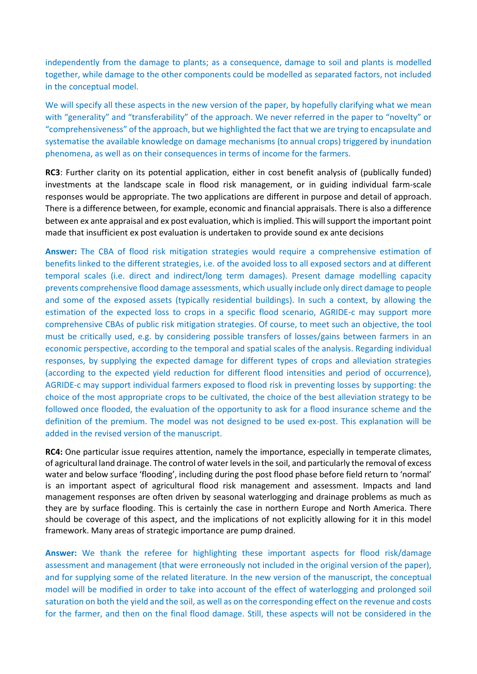independently from the damage to plants; as a consequence, damage to soil and plants is modelled together, while damage to the other components could be modelled as separated factors, not included in the conceptual model.

We will specify all these aspects in the new version of the paper, by hopefully clarifying what we mean with "generality" and "transferability" of the approach. We never referred in the paper to "novelty" or "comprehensiveness" of the approach, but we highlighted the fact that we are trying to encapsulate and systematise the available knowledge on damage mechanisms (to annual crops) triggered by inundation phenomena, as well as on their consequences in terms of income for the farmers.

**RC3**: Further clarity on its potential application, either in cost benefit analysis of (publically funded) investments at the landscape scale in flood risk management, or in guiding individual farm-scale responses would be appropriate. The two applications are different in purpose and detail of approach. There is a difference between, for example, economic and financial appraisals. There is also a difference between ex ante appraisal and ex post evaluation, which is implied. This will support the important point made that insufficient ex post evaluation is undertaken to provide sound ex ante decisions

**Answer:** The CBA of flood risk mitigation strategies would require a comprehensive estimation of benefits linked to the different strategies, i.e. of the avoided loss to all exposed sectors and at different temporal scales (i.e. direct and indirect/long term damages). Present damage modelling capacity prevents comprehensive flood damage assessments, which usually include only direct damage to people and some of the exposed assets (typically residential buildings). In such a context, by allowing the estimation of the expected loss to crops in a specific flood scenario, AGRIDE-c may support more comprehensive CBAs of public risk mitigation strategies. Of course, to meet such an objective, the tool must be critically used, e.g. by considering possible transfers of losses/gains between farmers in an economic perspective, according to the temporal and spatial scales of the analysis. Regarding individual responses, by supplying the expected damage for different types of crops and alleviation strategies (according to the expected yield reduction for different flood intensities and period of occurrence), AGRIDE-c may support individual farmers exposed to flood risk in preventing losses by supporting: the choice of the most appropriate crops to be cultivated, the choice of the best alleviation strategy to be followed once flooded, the evaluation of the opportunity to ask for a flood insurance scheme and the definition of the premium. The model was not designed to be used ex-post. This explanation will be added in the revised version of the manuscript.

**RC4:** One particular issue requires attention, namely the importance, especially in temperate climates, of agricultural land drainage. The control of water levels in the soil, and particularly the removal of excess water and below surface 'flooding', including during the post flood phase before field return to 'normal' is an important aspect of agricultural flood risk management and assessment. Impacts and land management responses are often driven by seasonal waterlogging and drainage problems as much as they are by surface flooding. This is certainly the case in northern Europe and North America. There should be coverage of this aspect, and the implications of not explicitly allowing for it in this model framework. Many areas of strategic importance are pump drained.

**Answer:** We thank the referee for highlighting these important aspects for flood risk/damage assessment and management (that were erroneously not included in the original version of the paper), and for supplying some of the related literature. In the new version of the manuscript, the conceptual model will be modified in order to take into account of the effect of waterlogging and prolonged soil saturation on both the yield and the soil, as well as on the corresponding effect on the revenue and costs for the farmer, and then on the final flood damage. Still, these aspects will not be considered in the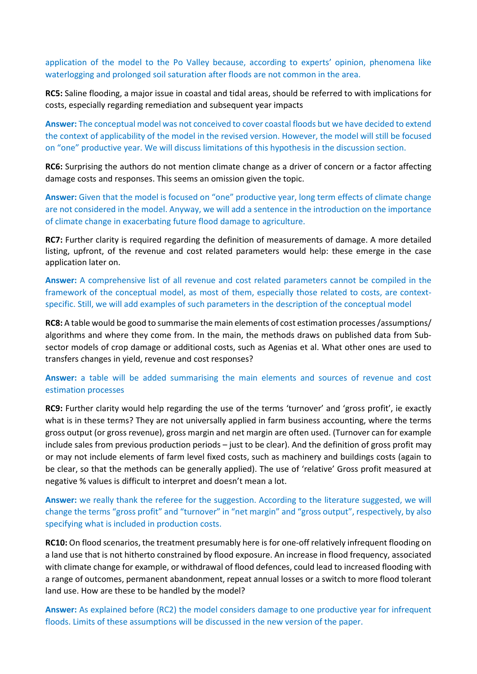application of the model to the Po Valley because, according to experts' opinion, phenomena like waterlogging and prolonged soil saturation after floods are not common in the area.

**RC5:** Saline flooding, a major issue in coastal and tidal areas, should be referred to with implications for costs, especially regarding remediation and subsequent year impacts

**Answer:** The conceptual model was not conceived to cover coastal floods but we have decided to extend the context of applicability of the model in the revised version. However, the model will still be focused on "one" productive year. We will discuss limitations of this hypothesis in the discussion section.

**RC6:** Surprising the authors do not mention climate change as a driver of concern or a factor affecting damage costs and responses. This seems an omission given the topic.

**Answer:** Given that the model is focused on "one" productive year, long term effects of climate change are not considered in the model. Anyway, we will add a sentence in the introduction on the importance of climate change in exacerbating future flood damage to agriculture.

**RC7:** Further clarity is required regarding the definition of measurements of damage. A more detailed listing, upfront, of the revenue and cost related parameters would help: these emerge in the case application later on.

**Answer:** A comprehensive list of all revenue and cost related parameters cannot be compiled in the framework of the conceptual model, as most of them, especially those related to costs, are contextspecific. Still, we will add examples of such parameters in the description of the conceptual model

**RC8:** A table would be good to summarise the main elements of cost estimation processes /assumptions/ algorithms and where they come from. In the main, the methods draws on published data from Subsector models of crop damage or additional costs, such as Agenias et al. What other ones are used to transfers changes in yield, revenue and cost responses?

# **Answer:** a table will be added summarising the main elements and sources of revenue and cost estimation processes

**RC9:** Further clarity would help regarding the use of the terms 'turnover' and 'gross profit', ie exactly what is in these terms? They are not universally applied in farm business accounting, where the terms gross output (or gross revenue), gross margin and net margin are often used. (Turnover can for example include sales from previous production periods – just to be clear). And the definition of gross profit may or may not include elements of farm level fixed costs, such as machinery and buildings costs (again to be clear, so that the methods can be generally applied). The use of 'relative' Gross profit measured at negative % values is difficult to interpret and doesn't mean a lot.

**Answer:** we really thank the referee for the suggestion. According to the literature suggested, we will change the terms "gross profit" and "turnover" in "net margin" and "gross output", respectively, by also specifying what is included in production costs.

**RC10:** On flood scenarios, the treatment presumably here is for one-off relatively infrequent flooding on a land use that is not hitherto constrained by flood exposure. An increase in flood frequency, associated with climate change for example, or withdrawal of flood defences, could lead to increased flooding with a range of outcomes, permanent abandonment, repeat annual losses or a switch to more flood tolerant land use. How are these to be handled by the model?

**Answer:** As explained before (RC2) the model considers damage to one productive year for infrequent floods. Limits of these assumptions will be discussed in the new version of the paper.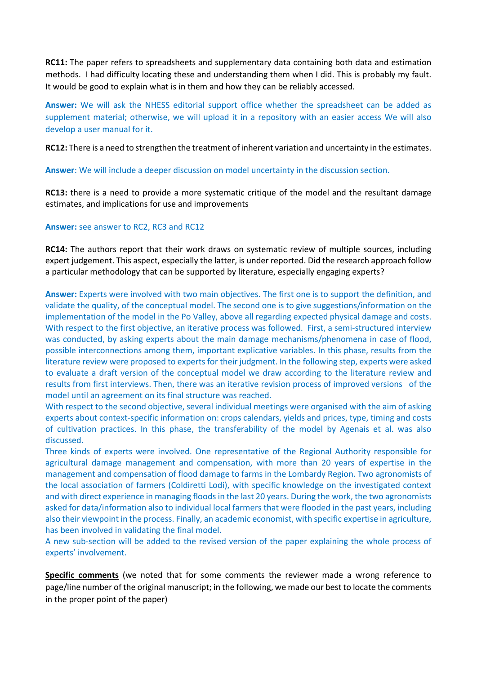**RC11:** The paper refers to spreadsheets and supplementary data containing both data and estimation methods. I had difficulty locating these and understanding them when I did. This is probably my fault. It would be good to explain what is in them and how they can be reliably accessed.

**Answer:** We will ask the NHESS editorial support office whether the spreadsheet can be added as supplement material; otherwise, we will upload it in a repository with an easier access We will also develop a user manual for it.

**RC12:** There is a need to strengthen the treatment of inherent variation and uncertainty in the estimates.

**Answer**: We will include a deeper discussion on model uncertainty in the discussion section.

**RC13:** there is a need to provide a more systematic critique of the model and the resultant damage estimates, and implications for use and improvements

### **Answer:** see answer to RC2, RC3 and RC12

**RC14:** The authors report that their work draws on systematic review of multiple sources, including expert judgement. This aspect, especially the latter, is under reported. Did the research approach follow a particular methodology that can be supported by literature, especially engaging experts?

**Answer:** Experts were involved with two main objectives. The first one is to support the definition, and validate the quality, of the conceptual model. The second one is to give suggestions/information on the implementation of the model in the Po Valley, above all regarding expected physical damage and costs. With respect to the first objective, an iterative process was followed. First, a semi-structured interview was conducted, by asking experts about the main damage mechanisms/phenomena in case of flood, possible interconnections among them, important explicative variables. In this phase, results from the literature review were proposed to experts for their judgment. In the following step, experts were asked to evaluate a draft version of the conceptual model we draw according to the literature review and results from first interviews. Then, there was an iterative revision process of improved versions of the model until an agreement on its final structure was reached.

With respect to the second objective, several individual meetings were organised with the aim of asking experts about context-specific information on: crops calendars, yields and prices, type, timing and costs of cultivation practices. In this phase, the transferability of the model by Agenais et al. was also discussed.

Three kinds of experts were involved. One representative of the Regional Authority responsible for agricultural damage management and compensation, with more than 20 years of expertise in the management and compensation of flood damage to farms in the Lombardy Region. Two agronomists of the local association of farmers (Coldiretti Lodi), with specific knowledge on the investigated context and with direct experience in managing floods in the last 20 years. During the work, the two agronomists asked for data/information also to individual local farmers that were flooded in the past years, including also their viewpoint in the process. Finally, an academic economist, with specific expertise in agriculture, has been involved in validating the final model.

A new sub-section will be added to the revised version of the paper explaining the whole process of experts' involvement.

**Specific comments** (we noted that for some comments the reviewer made a wrong reference to page/line number of the original manuscript; in the following, we made our best to locate the comments in the proper point of the paper)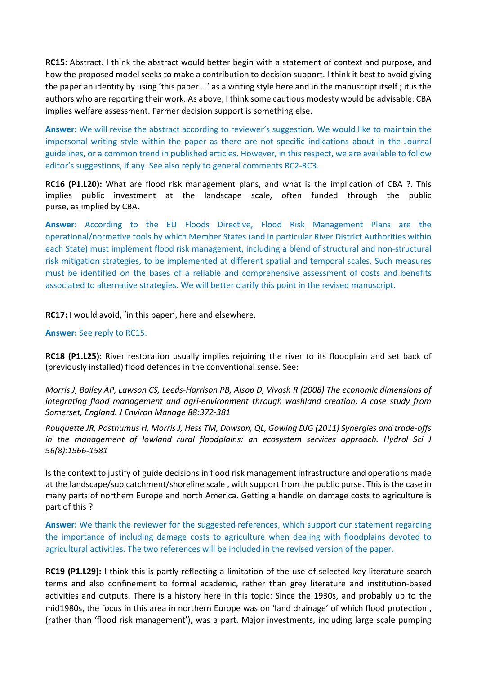**RC15:** Abstract. I think the abstract would better begin with a statement of context and purpose, and how the proposed model seeks to make a contribution to decision support. I think it best to avoid giving the paper an identity by using 'this paper….' as a writing style here and in the manuscript itself ; it is the authors who are reporting their work. As above, I think some cautious modesty would be advisable. CBA implies welfare assessment. Farmer decision support is something else.

**Answer:** We will revise the abstract according to reviewer's suggestion. We would like to maintain the impersonal writing style within the paper as there are not specific indications about in the Journal guidelines, or a common trend in published articles. However, in this respect, we are available to follow editor's suggestions, if any. See also reply to general comments RC2-RC3.

**RC16 (P1.L20):** What are flood risk management plans, and what is the implication of CBA ?. This implies public investment at the landscape scale, often funded through the public purse, as implied by CBA.

**Answer:** According to the EU Floods Directive, Flood Risk Management Plans are the operational/normative tools by which Member States (and in particular River District Authorities within each State) must implement flood risk management, including a blend of structural and non-structural risk mitigation strategies, to be implemented at different spatial and temporal scales. Such measures must be identified on the bases of a reliable and comprehensive assessment of costs and benefits associated to alternative strategies. We will better clarify this point in the revised manuscript.

**RC17:** I would avoid, 'in this paper', here and elsewhere.

## **Answer:** See reply to RC15.

**RC18 (P1.L25):** River restoration usually implies rejoining the river to its floodplain and set back of (previously installed) flood defences in the conventional sense. See:

*Morris J, Bailey AP, Lawson CS, Leeds‐Harrison PB, Alsop D, Vivash R (2008) The economic dimensions of integrating flood management and agri‐environment through washland creation: A case study from Somerset, England. J Environ Manage 88:372‐381* 

*Rouquette JR, Posthumus H, Morris J, Hess TM, Dawson, QL, Gowing DJG (2011) Synergies and trade‐offs in the management of lowland rural floodplains: an ecosystem services approach. Hydrol Sci J 56(8):1566‐1581*

Is the context to justify of guide decisions in flood risk management infrastructure and operations made at the landscape/sub catchment/shoreline scale , with support from the public purse. This is the case in many parts of northern Europe and north America. Getting a handle on damage costs to agriculture is part of this ?

**Answer:** We thank the reviewer for the suggested references, which support our statement regarding the importance of including damage costs to agriculture when dealing with floodplains devoted to agricultural activities. The two references will be included in the revised version of the paper.

**RC19 (P1.L29):** I think this is partly reflecting a limitation of the use of selected key literature search terms and also confinement to formal academic, rather than grey literature and institution-based activities and outputs. There is a history here in this topic: Since the 1930s, and probably up to the mid1980s, the focus in this area in northern Europe was on 'land drainage' of which flood protection , (rather than 'flood risk management'), was a part. Major investments, including large scale pumping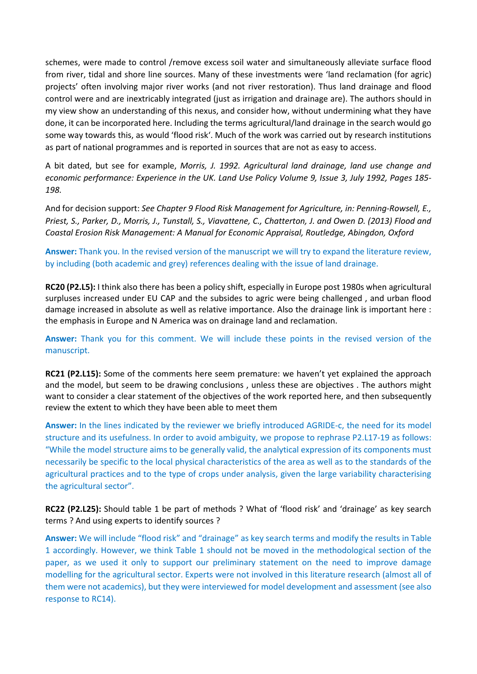schemes, were made to control /remove excess soil water and simultaneously alleviate surface flood from river, tidal and shore line sources. Many of these investments were 'land reclamation (for agric) projects' often involving major river works (and not river restoration). Thus land drainage and flood control were and are inextricably integrated (just as irrigation and drainage are). The authors should in my view show an understanding of this nexus, and consider how, without undermining what they have done, it can be incorporated here. Including the terms agricultural/land drainage in the search would go some way towards this, as would 'flood risk'. Much of the work was carried out by research institutions as part of national programmes and is reported in sources that are not as easy to access.

A bit dated, but see for example, *Morris, J. 1992. Agricultural land drainage, land use change and economic performance: Experience in the UK. Land Use Policy Volume 9, Issue 3, July 1992, Pages 185‐ 198.*

And for decision support: *See Chapter 9 Flood Risk Management for Agriculture, in: Penning‐Rowsell, E., Priest, S., Parker, D., Morris, J., Tunstall, S., Viavattene, C., Chatterton, J. and Owen D. (2013) Flood and Coastal Erosion Risk Management: A Manual for Economic Appraisal, Routledge, Abingdon, Oxford*

**Answer:** Thank you. In the revised version of the manuscript we will try to expand the literature review, by including (both academic and grey) references dealing with the issue of land drainage.

**RC20 (P2.L5):** I think also there has been a policy shift, especially in Europe post 1980s when agricultural surpluses increased under EU CAP and the subsides to agric were being challenged , and urban flood damage increased in absolute as well as relative importance. Also the drainage link is important here : the emphasis in Europe and N America was on drainage land and reclamation.

**Answer:** Thank you for this comment. We will include these points in the revised version of the manuscript.

**RC21 (P2.L15):** Some of the comments here seem premature: we haven't yet explained the approach and the model, but seem to be drawing conclusions , unless these are objectives . The authors might want to consider a clear statement of the objectives of the work reported here, and then subsequently review the extent to which they have been able to meet them

**Answer:** In the lines indicated by the reviewer we briefly introduced AGRIDE-c, the need for its model structure and its usefulness. In order to avoid ambiguity, we propose to rephrase P2.L17-19 as follows: "While the model structure aims to be generally valid, the analytical expression of its components must necessarily be specific to the local physical characteristics of the area as well as to the standards of the agricultural practices and to the type of crops under analysis, given the large variability characterising the agricultural sector".

**RC22 (P2.L25):** Should table 1 be part of methods ? What of 'flood risk' and 'drainage' as key search terms ? And using experts to identify sources ?

**Answer:** We will include "flood risk" and "drainage" as key search terms and modify the results in Table 1 accordingly. However, we think Table 1 should not be moved in the methodological section of the paper, as we used it only to support our preliminary statement on the need to improve damage modelling for the agricultural sector. Experts were not involved in this literature research (almost all of them were not academics), but they were interviewed for model development and assessment (see also response to RC14).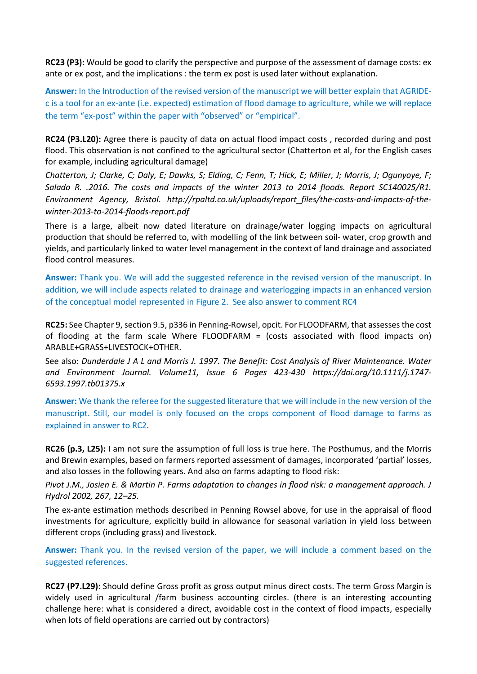**RC23 (P3):** Would be good to clarify the perspective and purpose of the assessment of damage costs: ex ante or ex post, and the implications : the term ex post is used later without explanation.

**Answer:** In the Introduction of the revised version of the manuscript we will better explain that AGRIDEc is a tool for an ex-ante (i.e. expected) estimation of flood damage to agriculture, while we will replace the term "ex-post" within the paper with "observed" or "empirical".

**RC24 (P3.L20):** Agree there is paucity of data on actual flood impact costs , recorded during and post flood. This observation is not confined to the agricultural sector (Chatterton et al, for the English cases for example, including agricultural damage)

*Chatterton, J; Clarke, C; Daly, E; Dawks, S; Elding, C; Fenn, T; Hick, E; Miller, J; Morris, J; Ogunyoye, F; Salado R. .2016. The costs and impacts of the winter 2013 to 2014 floods. Report SC140025/R1. Environment Agency, Bristol. http://rpaltd.co.uk/uploads/report\_files/the‐costs‐and‐impacts‐of‐the‐ winter‐2013‐to‐2014‐floods‐report.pdf*

There is a large, albeit now dated literature on drainage/water logging impacts on agricultural production that should be referred to, with modelling of the link between soil- water, crop growth and yields, and particularly linked to water level management in the context of land drainage and associated flood control measures.

**Answer:** Thank you. We will add the suggested reference in the revised version of the manuscript. In addition, we will include aspects related to drainage and waterlogging impacts in an enhanced version of the conceptual model represented in Figure 2. See also answer to comment RC4

**RC25:** See Chapter 9, section 9.5, p336 in Penning-Rowsel, opcit. For FLOODFARM, that assesses the cost of flooding at the farm scale Where FLOODFARM = (costs associated with flood impacts on) ARABLE+GRASS+LIVESTOCK+OTHER.

See also: *Dunderdale J A L and Morris J. 1997. The Benefit: Cost Analysis of River Maintenance. Water and Environment Journal. Volume11, Issue 6 Pages 423‐430 https://doi.org/10.1111/j.1747‐ 6593.1997.tb01375.x*

**Answer:** We thank the referee for the suggested literature that we will include in the new version of the manuscript. Still, our model is only focused on the crops component of flood damage to farms as explained in answer to RC2.

**RC26 (p.3, L25):** I am not sure the assumption of full loss is true here. The Posthumus, and the Morris and Brewin examples, based on farmers reported assessment of damages, incorporated 'partial' losses, and also losses in the following years. And also on farms adapting to flood risk:

*Pivot J.M., Josien E. & Martin P. Farms adaptation to changes in flood risk: a management approach. J Hydrol 2002, 267, 12–25.* 

The ex-ante estimation methods described in Penning Rowsel above, for use in the appraisal of flood investments for agriculture, explicitly build in allowance for seasonal variation in yield loss between different crops (including grass) and livestock.

**Answer:** Thank you. In the revised version of the paper, we will include a comment based on the suggested references.

**RC27 (P7.L29):** Should define Gross profit as gross output minus direct costs. The term Gross Margin is widely used in agricultural /farm business accounting circles. (there is an interesting accounting challenge here: what is considered a direct, avoidable cost in the context of flood impacts, especially when lots of field operations are carried out by contractors)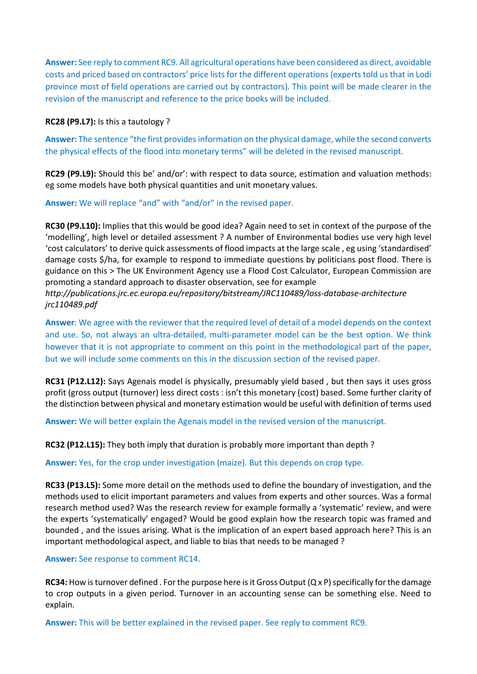**Answer:** See reply to comment RC9. All agricultural operations have been considered as direct, avoidable costs and priced based on contractors' price lists for the different operations (experts told us that in Lodi province most of field operations are carried out by contractors). This point will be made clearer in the revision of the manuscript and reference to the price books will be included.

**RC28 (P9.L7):** Is this a tautology ?

**Answer:** The sentence "the first provides information on the physical damage, while the second converts the physical effects of the flood into monetary terms" will be deleted in the revised manuscript.

**RC29 (P9.L9):** Should this be' and/or': with respect to data source, estimation and valuation methods: eg some models have both physical quantities and unit monetary values.

**Answer:** We will replace "and" with "and/or" in the revised paper.

**RC30 (P9.L10):** Implies that this would be good idea? Again need to set in context of the purpose of the 'modelling', high level or detailed assessment ? A number of Environmental bodies use very high level 'cost calculators' to derive quick assessments of flood impacts at the large scale , eg using 'standardised' damage costs \$/ha, for example to respond to immediate questions by politicians post flood. There is guidance on this > The UK Environment Agency use a Flood Cost Calculator, European Commission are promoting a standard approach to disaster observation, see for example

*http://publications.jrc.ec.europa.eu/repository/bitstream/JRC110489/loss‐database‐architecture jrc110489.pdf*

**Answer**: We agree with the reviewer that the required level of detail of a model depends on the context and use. So, not always an ultra-detailed, multi-parameter model can be the best option. We think however that it is not appropriate to comment on this point in the methodological part of the paper, but we will include some comments on this in the discussion section of the revised paper.

**RC31 (P12.L12):** Says Agenais model is physically, presumably yield based , but then says it uses gross profit (gross output (turnover) less direct costs : isn't this monetary (cost) based. Some further clarity of the distinction between physical and monetary estimation would be useful with definition of terms used

**Answer:** We will better explain the Agenais model in the revised version of the manuscript.

**RC32 (P12.L15):** They both imply that duration is probably more important than depth ?

**Answer:** Yes, for the crop under investigation (maize). But this depends on crop type.

**RC33 (P13.L5):** Some more detail on the methods used to define the boundary of investigation, and the methods used to elicit important parameters and values from experts and other sources. Was a formal research method used? Was the research review for example formally a 'systematic' review, and were the experts 'systematically' engaged? Would be good explain how the research topic was framed and bounded , and the issues arising. What is the implication of an expert based approach here? This is an important methodological aspect, and liable to bias that needs to be managed ?

#### **Answer:** See response to comment RC14.

**RC34:** How is turnover defined . For the purpose here is it Gross Output (Q x P) specifically for the damage to crop outputs in a given period. Turnover in an accounting sense can be something else. Need to explain.

**Answer:** This will be better explained in the revised paper. See reply to comment RC9.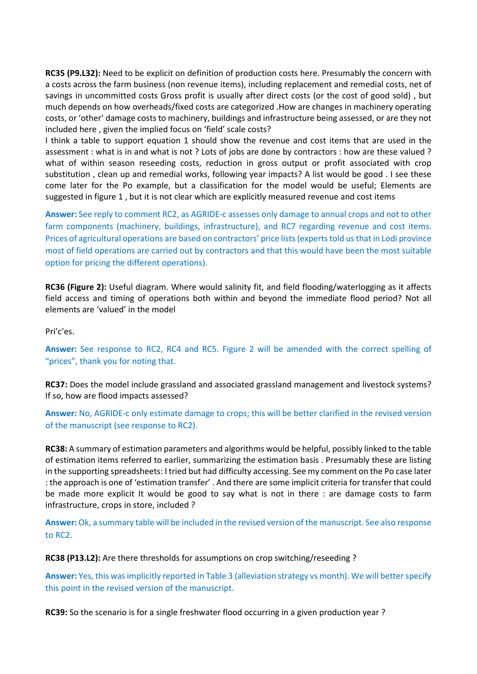**RC35 (P9.L32):** Need to be explicit on definition of production costs here. Presumably the concern with a costs across the farm business (non revenue items), including replacement and remedial costs, net of savings in uncommitted costs Gross profit is usually after direct costs (or the cost of good sold) , but much depends on how overheads/fixed costs are categorized .How are changes in machinery operating costs, or 'other' damage costs to machinery, buildings and infrastructure being assessed, or are they not included here , given the implied focus on 'field' scale costs?

I think a table to support equation 1 should show the revenue and cost items that are used in the assessment : what is in and what is not ? Lots of jobs are done by contractors : how are these valued ? what of within season reseeding costs, reduction in gross output or profit associated with crop substitution , clean up and remedial works, following year impacts? A list would be good . I see these come later for the Po example, but a classification for the model would be useful; Elements are suggested in figure 1 , but it is not clear which are explicitly measured revenue and cost items

**Answer:** See reply to comment RC2, as AGRIDE-c assesses only damage to annual crops and not to other farm components (machinery, buildings, infrastructure), and RC7 regarding revenue and cost items. Prices of agricultural operations are based on contractors' price lists (experts told us that in Lodi province most of field operations are carried out by contractors and that this would have been the most suitable option for pricing the different operations).

**RC36 (Figure 2):** Useful diagram. Where would salinity fit, and field flooding/waterlogging as it affects field access and timing of operations both within and beyond the immediate flood period? Not all elements are 'valued' in the model

Pri'c'es.

**Answer:** See response to RC2, RC4 and RC5. Figure 2 will be amended with the correct spelling of "prices", thank you for noting that.

**RC37:** Does the model include grassland and associated grassland management and livestock systems? If so, how are flood impacts assessed?

**Answer:** No, AGRIDE-c only estimate damage to crops; this will be better clarified in the revised version of the manuscript (see response to RC2).

**RC38:** A summary of estimation parameters and algorithms would be helpful, possibly linked to the table of estimation items referred to earlier, summarizing the estimation basis . Presumably these are listing in the supporting spreadsheets: I tried but had difficulty accessing. See my comment on the Po case later : the approach is one of 'estimation transfer' . And there are some implicit criteria for transfer that could be made more explicit It would be good to say what is not in there : are damage costs to farm infrastructure, crops in store, included ?

**Answer:** Ok, a summary table will be included in the revised version of the manuscript. See also response to RC2.

**RC38 (P13.L2):** Are there thresholds for assumptions on crop switching/reseeding ?

**Answer:** Yes, this was implicitly reported in Table 3 (alleviation strategy vs month). We will better specify this point in the revised version of the manuscript.

**RC39:** So the scenario is for a single freshwater flood occurring in a given production year ?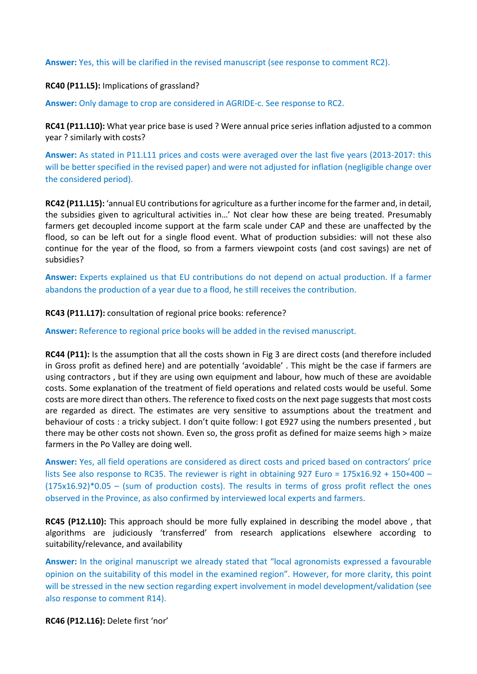**Answer:** Yes, this will be clarified in the revised manuscript (see response to comment RC2).

**RC40 (P11.L5):** Implications of grassland?

**Answer:** Only damage to crop are considered in AGRIDE-c. See response to RC2.

**RC41 (P11.L10):** What year price base is used ? Were annual price series inflation adjusted to a common year ? similarly with costs?

**Answer:** As stated in P11.L11 prices and costs were averaged over the last five years (2013-2017: this will be better specified in the revised paper) and were not adjusted for inflation (negligible change over the considered period).

**RC42 (P11.L15):** 'annual EU contributions for agriculture as a further income for the farmer and, in detail, the subsidies given to agricultural activities in…' Not clear how these are being treated. Presumably farmers get decoupled income support at the farm scale under CAP and these are unaffected by the flood, so can be left out for a single flood event. What of production subsidies: will not these also continue for the year of the flood, so from a farmers viewpoint costs (and cost savings) are net of subsidies?

**Answer:** Experts explained us that EU contributions do not depend on actual production. If a farmer abandons the production of a year due to a flood, he still receives the contribution.

## **RC43 (P11.L17):** consultation of regional price books: reference?

**Answer:** Reference to regional price books will be added in the revised manuscript.

**RC44 (P11):** Is the assumption that all the costs shown in Fig 3 are direct costs (and therefore included in Gross profit as defined here) and are potentially 'avoidable' . This might be the case if farmers are using contractors , but if they are using own equipment and labour, how much of these are avoidable costs. Some explanation of the treatment of field operations and related costs would be useful. Some costs are more direct than others. The reference to fixed costs on the next page suggests that most costs are regarded as direct. The estimates are very sensitive to assumptions about the treatment and behaviour of costs : a tricky subject. I don't quite follow: I got E927 using the numbers presented , but there may be other costs not shown. Even so, the gross profit as defined for maize seems high > maize farmers in the Po Valley are doing well.

**Answer:** Yes, all field operations are considered as direct costs and priced based on contractors' price lists See also response to RC35. The reviewer is right in obtaining 927 Euro = 175x16.92 + 150+400 –  $(175x16.92)^*0.05 -$  (sum of production costs). The results in terms of gross profit reflect the ones observed in the Province, as also confirmed by interviewed local experts and farmers.

**RC45 (P12.L10):** This approach should be more fully explained in describing the model above , that algorithms are judiciously 'transferred' from research applications elsewhere according to suitability/relevance, and availability

**Answer:** In the original manuscript we already stated that "local agronomists expressed a favourable opinion on the suitability of this model in the examined region". However, for more clarity, this point will be stressed in the new section regarding expert involvement in model development/validation (see also response to comment R14).

**RC46 (P12.L16):** Delete first 'nor'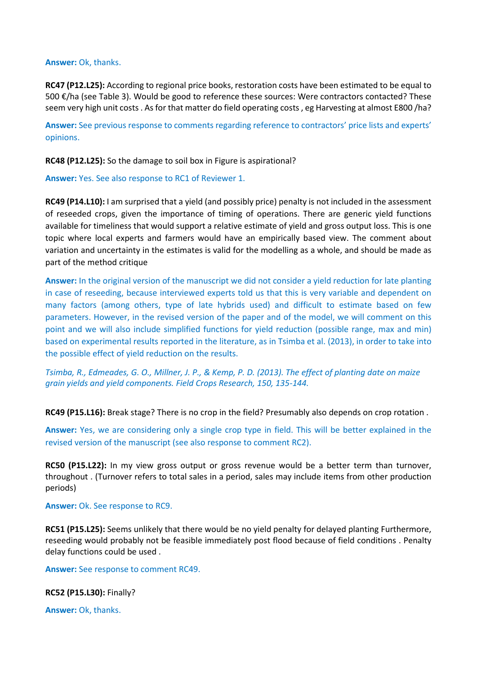#### **Answer:** Ok, thanks.

**RC47 (P12.L25):** According to regional price books, restoration costs have been estimated to be equal to 500 €/ha (see Table 3). Would be good to reference these sources: Were contractors contacted? These seem very high unit costs . As for that matter do field operating costs , eg Harvesting at almost E800 /ha?

**Answer:** See previous response to comments regarding reference to contractors' price lists and experts' opinions.

**RC48 (P12.L25):** So the damage to soil box in Figure is aspirational?

**Answer:** Yes. See also response to RC1 of Reviewer 1.

**RC49 (P14.L10):** I am surprised that a yield (and possibly price) penalty is not included in the assessment of reseeded crops, given the importance of timing of operations. There are generic yield functions available for timeliness that would support a relative estimate of yield and gross output loss. This is one topic where local experts and farmers would have an empirically based view. The comment about variation and uncertainty in the estimates is valid for the modelling as a whole, and should be made as part of the method critique

**Answer:** In the original version of the manuscript we did not consider a yield reduction for late planting in case of reseeding, because interviewed experts told us that this is very variable and dependent on many factors (among others, type of late hybrids used) and difficult to estimate based on few parameters. However, in the revised version of the paper and of the model, we will comment on this point and we will also include simplified functions for yield reduction (possible range, max and min) based on experimental results reported in the literature, as in Tsimba et al. (2013), in order to take into the possible effect of yield reduction on the results.

*Tsimba, R., Edmeades, G. O., Millner, J. P., & Kemp, P. D. (2013). The effect of planting date on maize grain yields and yield components. Field Crops Research, 150, 135-144.*

**RC49 (P15.L16):** Break stage? There is no crop in the field? Presumably also depends on crop rotation .

**Answer:** Yes, we are considering only a single crop type in field. This will be better explained in the revised version of the manuscript (see also response to comment RC2).

**RC50 (P15.L22):** In my view gross output or gross revenue would be a better term than turnover, throughout . (Turnover refers to total sales in a period, sales may include items from other production periods)

**Answer:** Ok. See response to RC9.

**RC51 (P15.L25):** Seems unlikely that there would be no yield penalty for delayed planting Furthermore, reseeding would probably not be feasible immediately post flood because of field conditions . Penalty delay functions could be used .

**Answer:** See response to comment RC49.

**RC52 (P15.L30):** Finally?

**Answer:** Ok, thanks.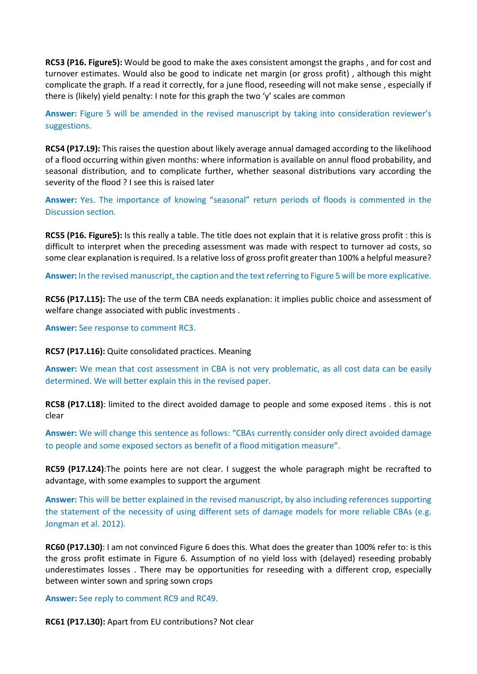**RC53 (P16. Figure5):** Would be good to make the axes consistent amongst the graphs , and for cost and turnover estimates. Would also be good to indicate net margin (or gross profit) , although this might complicate the graph. If a read it correctly, for a june flood, reseeding will not make sense , especially if there is (likely) yield penalty: I note for this graph the two 'y' scales are common

**Answer:** Figure 5 will be amended in the revised manuscript by taking into consideration reviewer's suggestions.

**RC54 (P17.L9):** This raises the question about likely average annual damaged according to the likelihood of a flood occurring within given months: where information is available on annul flood probability, and seasonal distribution, and to complicate further, whether seasonal distributions vary according the severity of the flood ? I see this is raised later

**Answer:** Yes. The importance of knowing "seasonal" return periods of floods is commented in the Discussion section.

**RC55 (P16. Figure5):** Is this really a table. The title does not explain that it is relative gross profit : this is difficult to interpret when the preceding assessment was made with respect to turnover ad costs, so some clear explanation is required. Is a relative loss of gross profit greater than 100% a helpful measure?

**Answer:** In the revised manuscript, the caption and the text referring to Figure 5 will be more explicative.

**RC56 (P17.L15):** The use of the term CBA needs explanation: it implies public choice and assessment of welfare change associated with public investments .

**Answer:** See response to comment RC3.

**RC57 (P17.L16):** Quite consolidated practices. Meaning

**Answer:** We mean that cost assessment in CBA is not very problematic, as all cost data can be easily determined. We will better explain this in the revised paper.

**RC58 (P17.L18)**: limited to the direct avoided damage to people and some exposed items . this is not clear

**Answer:** We will change this sentence as follows: "CBAs currently consider only direct avoided damage to people and some exposed sectors as benefit of a flood mitigation measure".

**RC59 (P17.L24)**:The points here are not clear. I suggest the whole paragraph might be recrafted to advantage, with some examples to support the argument

**Answer:** This will be better explained in the revised manuscript, by also including references supporting the statement of the necessity of using different sets of damage models for more reliable CBAs (e.g. Jongman et al. 2012).

**RC60 (P17.L30)**: I am not convinced Figure 6 does this. What does the greater than 100% refer to: is this the gross profit estimate in Figure 6. Assumption of no yield loss with (delayed) reseeding probably underestimates losses . There may be opportunities for reseeding with a different crop, especially between winter sown and spring sown crops

**Answer:** See reply to comment RC9 and RC49.

**RC61 (P17.L30):** Apart from EU contributions? Not clear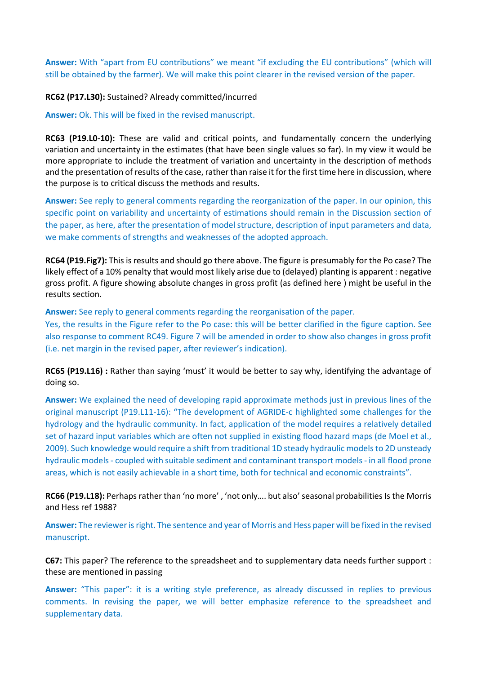**Answer:** With "apart from EU contributions" we meant "if excluding the EU contributions" (which will still be obtained by the farmer). We will make this point clearer in the revised version of the paper.

**RC62 (P17.L30):** Sustained? Already committed/incurred

**Answer:** Ok. This will be fixed in the revised manuscript.

**RC63 (P19.L0-10):** These are valid and critical points, and fundamentally concern the underlying variation and uncertainty in the estimates (that have been single values so far). In my view it would be more appropriate to include the treatment of variation and uncertainty in the description of methods and the presentation of results of the case, rather than raise it for the first time here in discussion, where the purpose is to critical discuss the methods and results.

**Answer:** See reply to general comments regarding the reorganization of the paper. In our opinion, this specific point on variability and uncertainty of estimations should remain in the Discussion section of the paper, as here, after the presentation of model structure, description of input parameters and data, we make comments of strengths and weaknesses of the adopted approach.

**RC64 (P19.Fig7):** This is results and should go there above. The figure is presumably for the Po case? The likely effect of a 10% penalty that would most likely arise due to (delayed) planting is apparent : negative gross profit. A figure showing absolute changes in gross profit (as defined here ) might be useful in the results section.

**Answer:** See reply to general comments regarding the reorganisation of the paper.

Yes, the results in the Figure refer to the Po case: this will be better clarified in the figure caption. See also response to comment RC49. Figure 7 will be amended in order to show also changes in gross profit (i.e. net margin in the revised paper, after reviewer's indication).

**RC65 (P19.L16) :** Rather than saying 'must' it would be better to say why, identifying the advantage of doing so.

**Answer:** We explained the need of developing rapid approximate methods just in previous lines of the original manuscript (P19.L11-16): "The development of AGRIDE-c highlighted some challenges for the hydrology and the hydraulic community. In fact, application of the model requires a relatively detailed set of hazard input variables which are often not supplied in existing flood hazard maps (de Moel et al., 2009). Such knowledge would require a shift from traditional 1D steady hydraulic models to 2D unsteady hydraulic models - coupled with suitable sediment and contaminant transport models - in all flood prone areas, which is not easily achievable in a short time, both for technical and economic constraints".

**RC66 (P19.L18):** Perhaps rather than 'no more' , 'not only…. but also' seasonal probabilities Is the Morris and Hess ref 1988?

**Answer:** The reviewer is right. The sentence and year of Morris and Hess paper will be fixed in the revised manuscript.

**C67:** This paper? The reference to the spreadsheet and to supplementary data needs further support : these are mentioned in passing

**Answer:** "This paper": it is a writing style preference, as already discussed in replies to previous comments. In revising the paper, we will better emphasize reference to the spreadsheet and supplementary data.